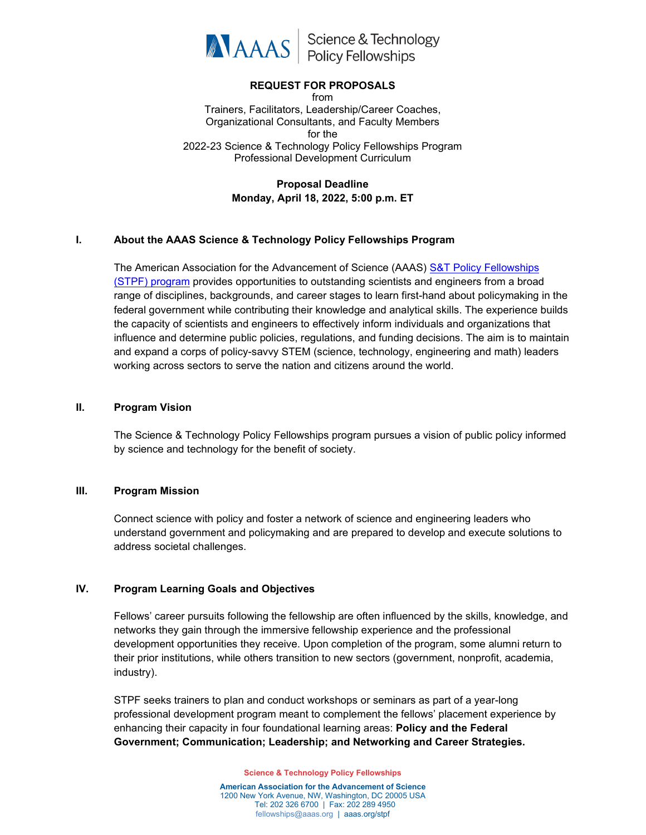

Science & Technology<br>Policy Fellowships

### **REQUEST FOR PROPOSALS**

from Trainers, Facilitators, Leadership/Career Coaches, Organizational Consultants, and Faculty Members for the 2022-23 Science & Technology Policy Fellowships Program Professional Development Curriculum

### **Proposal Deadline Monday, April 18, 2022, 5:00 p.m. ET**

#### **I. About the AAAS Science & Technology Policy Fellowships Program**

The American Association for the Advancement of Science (AAAS) [S&T Policy Fellowships](https://www.aaas.org/program/science-technology-policy-fellowships)  (STPF) [program](https://www.aaas.org/program/science-technology-policy-fellowships) provides opportunities to outstanding scientists and engineers from a broad range of disciplines, backgrounds, and career stages to learn first-hand about policymaking in the federal government while contributing their knowledge and analytical skills. The experience builds the capacity of scientists and engineers to effectively inform individuals and organizations that influence and determine public policies, regulations, and funding decisions. The aim is to maintain and expand a corps of policy-savvy STEM (science, technology, engineering and math) leaders working across sectors to serve the nation and citizens around the world.

#### **II. Program Vision**

The Science & Technology Policy Fellowships program pursues a vision of public policy informed by science and technology for the benefit of society.

#### **III. Program Mission**

Connect science with policy and foster a network of science and engineering leaders who understand government and policymaking and are prepared to develop and execute solutions to address societal challenges.

#### **IV. Program Learning Goals and Objectives**

Fellows' career pursuits following the fellowship are often influenced by the skills, knowledge, and networks they gain through the immersive fellowship experience and the professional development opportunities they receive. Upon completion of the program, some alumni return to their prior institutions, while others transition to new sectors (government, nonprofit, academia, industry).

STPF seeks trainers to plan and conduct workshops or seminars as part of a year-long professional development program meant to complement the fellows' placement experience by enhancing their capacity in four foundational learning areas: **Policy and the Federal Government; Communication; Leadership; and Networking and Career Strategies.**

**Science & Technology Policy Fellowships**

**American Association for the Advancement of Science** 1200 New York Avenue, NW, Washington, DC 20005 USA Tel: 202 326 6700 | Fax: 202 289 4950 [fellowships@aaas.org](mailto:fellowships@aaas.org) | aaas.org/stpf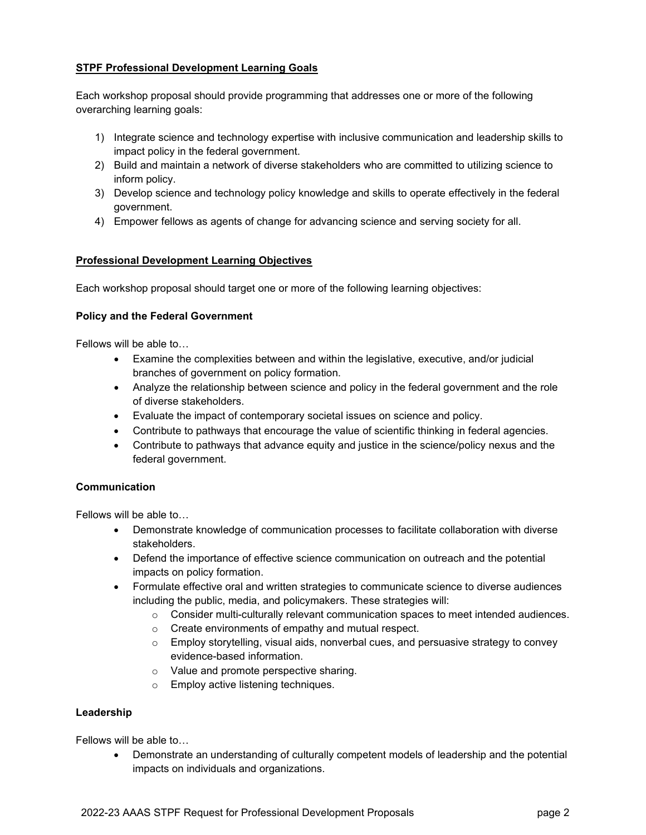### **STPF Professional Development Learning Goals**

Each workshop proposal should provide programming that addresses one or more of the following overarching learning goals:

- 1) Integrate science and technology expertise with inclusive communication and leadership skills to impact policy in the federal government.
- 2) Build and maintain a network of diverse stakeholders who are committed to utilizing science to inform policy.
- 3) Develop science and technology policy knowledge and skills to operate effectively in the federal government.
- 4) Empower fellows as agents of change for advancing science and serving society for all.

### **Professional Development Learning Objectives**

Each workshop proposal should target one or more of the following learning objectives:

### **Policy and the Federal Government**

Fellows will be able to…

- Examine the complexities between and within the legislative, executive, and/or judicial branches of government on policy formation.
- Analyze the relationship between science and policy in the federal government and the role of diverse stakeholders.
- Evaluate the impact of contemporary societal issues on science and policy.
- Contribute to pathways that encourage the value of scientific thinking in federal agencies.
- Contribute to pathways that advance equity and justice in the science/policy nexus and the federal government.

### **Communication**

Fellows will be able to…

- Demonstrate knowledge of communication processes to facilitate collaboration with diverse stakeholders.
- Defend the importance of effective science communication on outreach and the potential impacts on policy formation.
- Formulate effective oral and written strategies to communicate science to diverse audiences including the public, media, and policymakers. These strategies will:
	- $\circ$  Consider multi-culturally relevant communication spaces to meet intended audiences.
	- o Create environments of empathy and mutual respect.
	- $\circ$  Employ storytelling, visual aids, nonverbal cues, and persuasive strategy to convey evidence-based information.
	- o Value and promote perspective sharing.
	- o Employ active listening techniques.

### **Leadership**

Fellows will be able to…

• Demonstrate an understanding of culturally competent models of leadership and the potential impacts on individuals and organizations.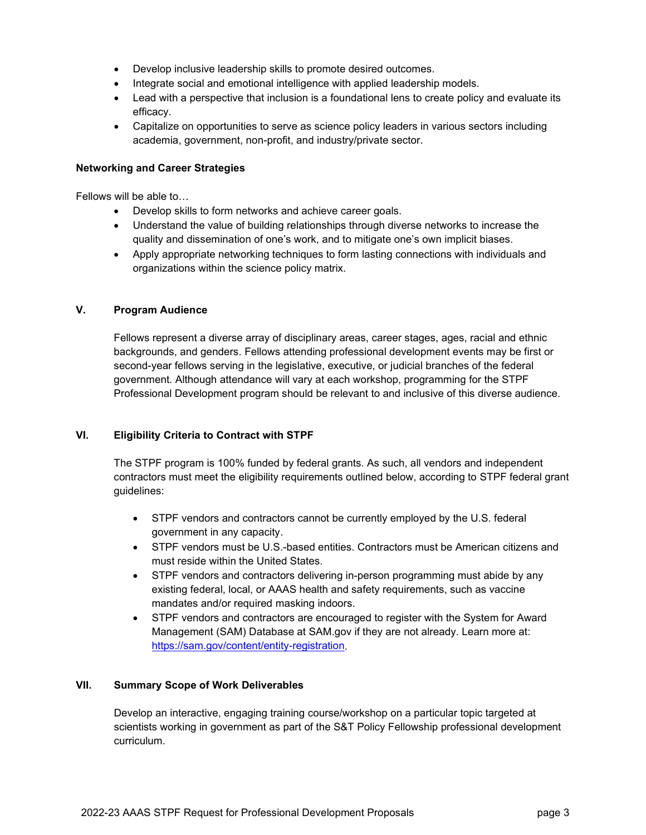- Develop inclusive leadership skills to promote desired outcomes.
- Integrate social and emotional intelligence with applied leadership models.
- Lead with a perspective that inclusion is a foundational lens to create policy and evaluate its efficacy.
- Capitalize on opportunities to serve as science policy leaders in various sectors including academia, government, non-profit, and industry/private sector.

#### **Networking and Career Strategies**

Fellows will be able to…

- Develop skills to form networks and achieve career goals.
- Understand the value of building relationships through diverse networks to increase the quality and dissemination of one's work, and to mitigate one's own implicit biases.
- Apply appropriate networking techniques to form lasting connections with individuals and organizations within the science policy matrix.

### **V. Program Audience**

Fellows represent a diverse array of disciplinary areas, career stages, ages, racial and ethnic backgrounds, and genders. Fellows attending professional development events may be first or second-year fellows serving in the legislative, executive, or judicial branches of the federal government. Although attendance will vary at each workshop, programming for the STPF Professional Development program should be relevant to and inclusive of this diverse audience.

### **VI. Eligibility Criteria to Contract with STPF**

The STPF program is 100% funded by federal grants. As such, all vendors and independent contractors must meet the eligibility requirements outlined below, according to STPF federal grant guidelines:

- STPF vendors and contractors cannot be currently employed by the U.S. federal government in any capacity.
- STPF vendors must be U.S.-based entities. Contractors must be American citizens and must reside within the United States.
- STPF vendors and contractors delivering in-person programming must abide by any existing federal, local, or AAAS health and safety requirements, such as vaccine mandates and/or required masking indoors.
- STPF vendors and contractors are encouraged to register with the System for Award Management (SAM) Database at SAM.gov if they are not already. Learn more at: [https://sam.gov/content/entity-registration.](https://sam.gov/content/entity-registration)

### **VII. Summary Scope of Work Deliverables**

Develop an interactive, engaging training course/workshop on a particular topic targeted at scientists working in government as part of the S&T Policy Fellowship professional development curriculum.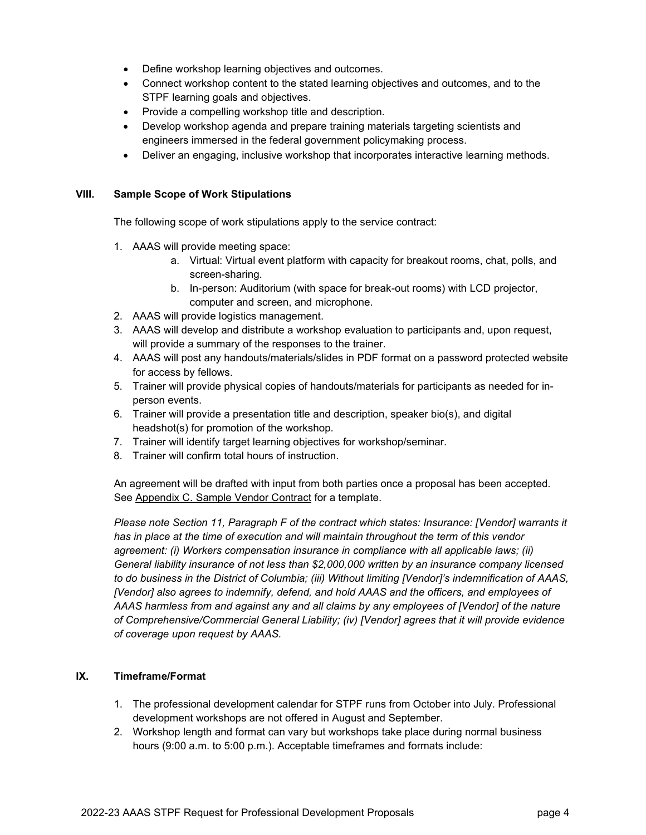- Define workshop learning objectives and outcomes.
- Connect workshop content to the stated learning objectives and outcomes, and to the STPF learning goals and objectives.
- Provide a compelling workshop title and description.
- Develop workshop agenda and prepare training materials targeting scientists and engineers immersed in the federal government policymaking process.
- Deliver an engaging, inclusive workshop that incorporates interactive learning methods.

### **VIII. Sample Scope of Work Stipulations**

The following scope of work stipulations apply to the service contract:

- 1. AAAS will provide meeting space:
	- a. Virtual: Virtual event platform with capacity for breakout rooms, chat, polls, and screen-sharing.
	- b. In-person: Auditorium (with space for break-out rooms) with LCD projector, computer and screen, and microphone.
- 2. AAAS will provide logistics management.
- 3. AAAS will develop and distribute a workshop evaluation to participants and, upon request, will provide a summary of the responses to the trainer.
- 4. AAAS will post any handouts/materials/slides in PDF format on a password protected website for access by fellows.
- 5. Trainer will provide physical copies of handouts/materials for participants as needed for inperson events.
- 6. Trainer will provide a presentation title and description, speaker bio(s), and digital headshot(s) for promotion of the workshop.
- 7. Trainer will identify target learning objectives for workshop/seminar.
- 8. Trainer will confirm total hours of instruction.

An agreement will be drafted with input from both parties once a proposal has been accepted. See Appendix C. Sample Vendor Contract for a template.

*Please note Section 11, Paragraph F of the contract which states: Insurance: [Vendor] warrants it has in place at the time of execution and will maintain throughout the term of this vendor agreement: (i) Workers compensation insurance in compliance with all applicable laws; (ii) General liability insurance of not less than \$2,000,000 written by an insurance company licensed to do business in the District of Columbia; (iii) Without limiting [Vendor]'s indemnification of AAAS, [Vendor] also agrees to indemnify, defend, and hold AAAS and the officers, and employees of AAAS harmless from and against any and all claims by any employees of [Vendor] of the nature of Comprehensive/Commercial General Liability; (iv) [Vendor] agrees that it will provide evidence of coverage upon request by AAAS.*

### **IX. Timeframe/Format**

- 1. The professional development calendar for STPF runs from October into July. Professional development workshops are not offered in August and September.
- 2. Workshop length and format can vary but workshops take place during normal business hours (9:00 a.m. to 5:00 p.m.). Acceptable timeframes and formats include: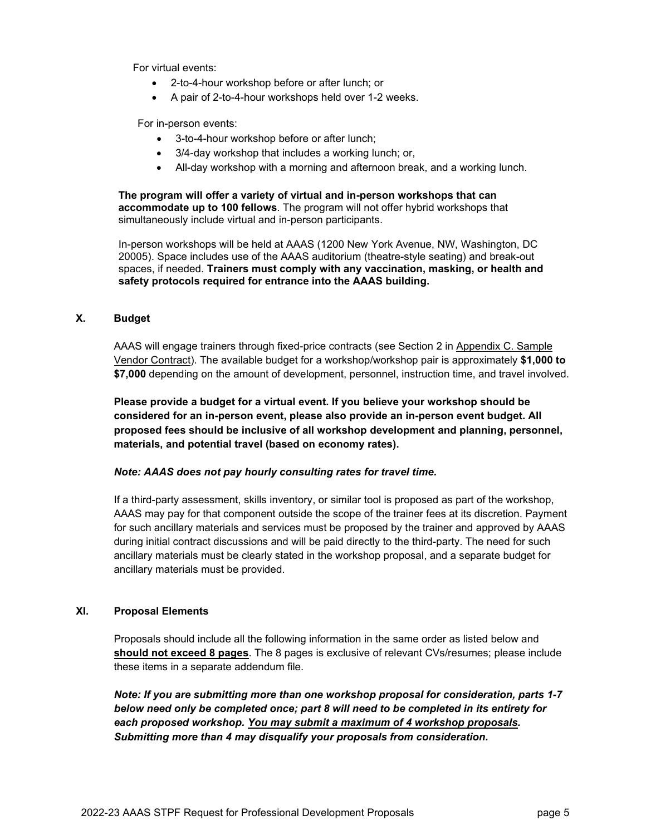For virtual events:

- 2-to-4-hour workshop before or after lunch; or
- A pair of 2-to-4-hour workshops held over 1-2 weeks.

For in-person events:

- 3-to-4-hour workshop before or after lunch;
- 3/4-day workshop that includes a working lunch; or,
- All-day workshop with a morning and afternoon break, and a working lunch.

**The program will offer a variety of virtual and in-person workshops that can accommodate up to 100 fellows**. The program will not offer hybrid workshops that simultaneously include virtual and in-person participants.

In-person workshops will be held at AAAS (1200 New York Avenue, NW, Washington, DC 20005). Space includes use of the AAAS auditorium (theatre-style seating) and break-out spaces, if needed. **Trainers must comply with any vaccination, masking, or health and safety protocols required for entrance into the AAAS building.**

#### **X. Budget**

AAAS will engage trainers through fixed-price contracts (see Section 2 in Appendix C. Sample Vendor Contract). The available budget for a workshop/workshop pair is approximately **\$1,000 to \$7,000** depending on the amount of development, personnel, instruction time, and travel involved.

**Please provide a budget for a virtual event. If you believe your workshop should be considered for an in-person event, please also provide an in-person event budget. All proposed fees should be inclusive of all workshop development and planning, personnel, materials, and potential travel (based on economy rates).**

#### *Note: AAAS does not pay hourly consulting rates for travel time.*

If a third-party assessment, skills inventory, or similar tool is proposed as part of the workshop, AAAS may pay for that component outside the scope of the trainer fees at its discretion. Payment for such ancillary materials and services must be proposed by the trainer and approved by AAAS during initial contract discussions and will be paid directly to the third-party. The need for such ancillary materials must be clearly stated in the workshop proposal, and a separate budget for ancillary materials must be provided.

### **XI. Proposal Elements**

Proposals should include all the following information in the same order as listed below and **should not exceed 8 pages**. The 8 pages is exclusive of relevant CVs/resumes; please include these items in a separate addendum file.

*Note: If you are submitting more than one workshop proposal for consideration, parts 1-7 below need only be completed once; part 8 will need to be completed in its entirety for each proposed workshop. You may submit a maximum of 4 workshop proposals. Submitting more than 4 may disqualify your proposals from consideration.*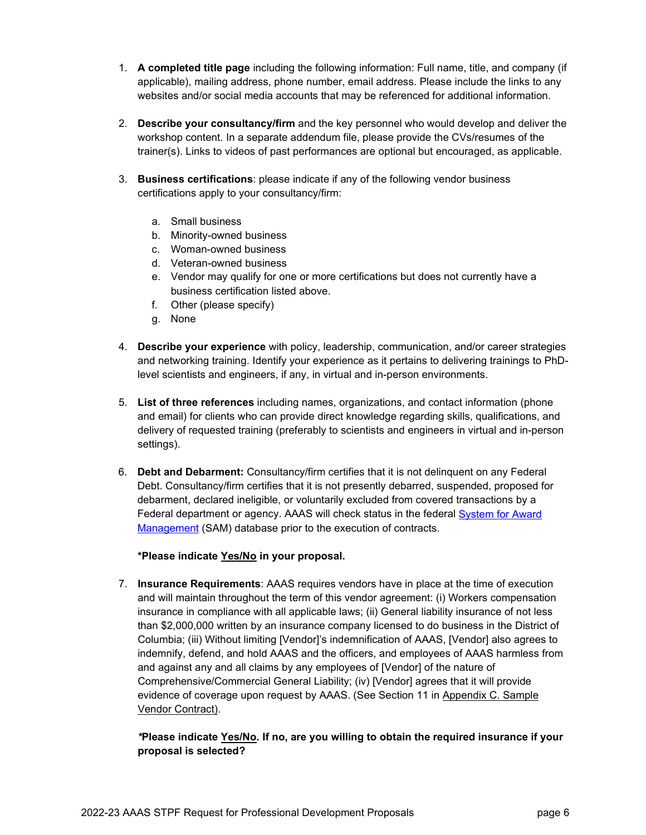- 1. **A completed title page** including the following information: Full name, title, and company (if applicable), mailing address, phone number, email address. Please include the links to any websites and/or social media accounts that may be referenced for additional information.
- 2. **Describe your consultancy/firm** and the key personnel who would develop and deliver the workshop content. In a separate addendum file, please provide the CVs/resumes of the trainer(s). Links to videos of past performances are optional but encouraged, as applicable.
- 3. **Business certifications**: please indicate if any of the following vendor business certifications apply to your consultancy/firm:
	- a. Small business
	- b. Minority-owned business
	- c. Woman-owned business
	- d. Veteran-owned business
	- e. Vendor may qualify for one or more certifications but does not currently have a business certification listed above.
	- f. Other (please specify)
	- g. None
- 4. **Describe your experience** with policy, leadership, communication, and/or career strategies and networking training. Identify your experience as it pertains to delivering trainings to PhDlevel scientists and engineers, if any, in virtual and in-person environments.
- 5. **List of three references** including names, organizations, and contact information (phone and email) for clients who can provide direct knowledge regarding skills, qualifications, and delivery of requested training (preferably to scientists and engineers in virtual and in-person settings).
- 6. **Debt and Debarment:** Consultancy/firm certifies that it is not delinquent on any Federal Debt. Consultancy/firm certifies that it is not presently debarred, suspended, proposed for debarment, declared ineligible, or voluntarily excluded from covered transactions by a Federal department or agency. AAAS will check status in the federal [System for Award](https://www.sam.gov/portal/SAM/)  [Management](https://www.sam.gov/portal/SAM/) (SAM) database prior to the execution of contracts.

### **\*Please indicate Yes/No in your proposal.**

7. **Insurance Requirements**: AAAS requires vendors have in place at the time of execution and will maintain throughout the term of this vendor agreement: (i) Workers compensation insurance in compliance with all applicable laws; (ii) General liability insurance of not less than \$2,000,000 written by an insurance company licensed to do business in the District of Columbia; (iii) Without limiting [Vendor]'s indemnification of AAAS, [Vendor] also agrees to indemnify, defend, and hold AAAS and the officers, and employees of AAAS harmless from and against any and all claims by any employees of [Vendor] of the nature of Comprehensive/Commercial General Liability; (iv) [Vendor] agrees that it will provide evidence of coverage upon request by AAAS. (See Section 11 in Appendix C. Sample Vendor Contract).

### *\****Please indicate Yes/No. If no, are you willing to obtain the required insurance if your proposal is selected?**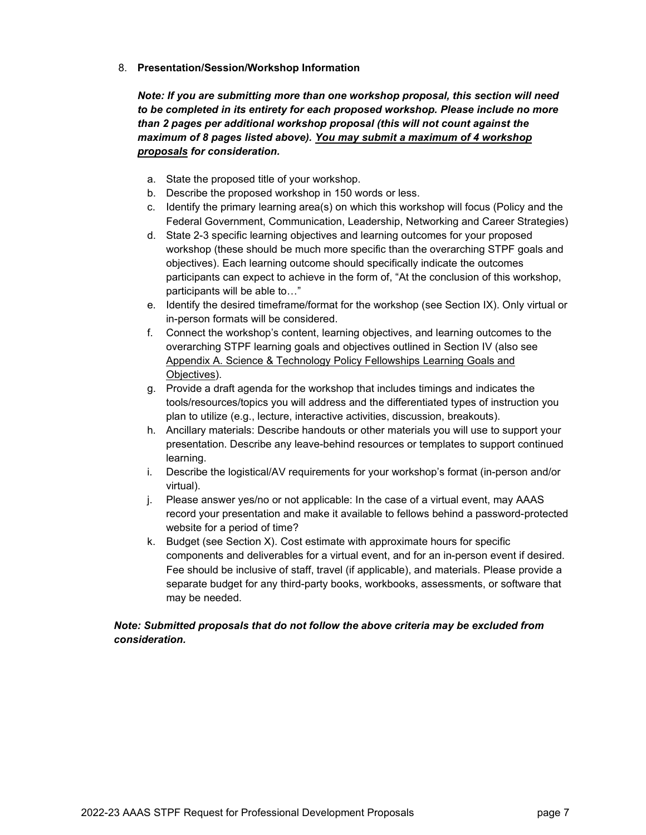8. **Presentation/Session/Workshop Information** 

*Note: If you are submitting more than one workshop proposal, this section will need to be completed in its entirety for each proposed workshop. Please include no more than 2 pages per additional workshop proposal (this will not count against the maximum of 8 pages listed above). You may submit a maximum of 4 workshop proposals for consideration.*

- a. State the proposed title of your workshop.
- b. Describe the proposed workshop in 150 words or less.
- c. Identify the primary learning area(s) on which this workshop will focus (Policy and the Federal Government, Communication, Leadership, Networking and Career Strategies)
- d. State 2-3 specific learning objectives and learning outcomes for your proposed workshop (these should be much more specific than the overarching STPF goals and objectives). Each learning outcome should specifically indicate the outcomes participants can expect to achieve in the form of, "At the conclusion of this workshop, participants will be able to…"
- e. Identify the desired timeframe/format for the workshop (see Section IX). Only virtual or in-person formats will be considered.
- f. Connect the workshop's content, learning objectives, and learning outcomes to the overarching STPF learning goals and objectives outlined in Section IV (also see Appendix A. Science & Technology Policy Fellowships Learning Goals and Objectives).
- g. Provide a draft agenda for the workshop that includes timings and indicates the tools/resources/topics you will address and the differentiated types of instruction you plan to utilize (e.g., lecture, interactive activities, discussion, breakouts).
- h. Ancillary materials: Describe handouts or other materials you will use to support your presentation. Describe any leave-behind resources or templates to support continued learning.
- i. Describe the logistical/AV requirements for your workshop's format (in-person and/or virtual).
- j. Please answer yes/no or not applicable: In the case of a virtual event, may AAAS record your presentation and make it available to fellows behind a password-protected website for a period of time?
- k. Budget (see Section X). Cost estimate with approximate hours for specific components and deliverables for a virtual event, and for an in-person event if desired. Fee should be inclusive of staff, travel (if applicable), and materials. Please provide a separate budget for any third-party books, workbooks, assessments, or software that may be needed.

### *Note: Submitted proposals that do not follow the above criteria may be excluded from consideration.*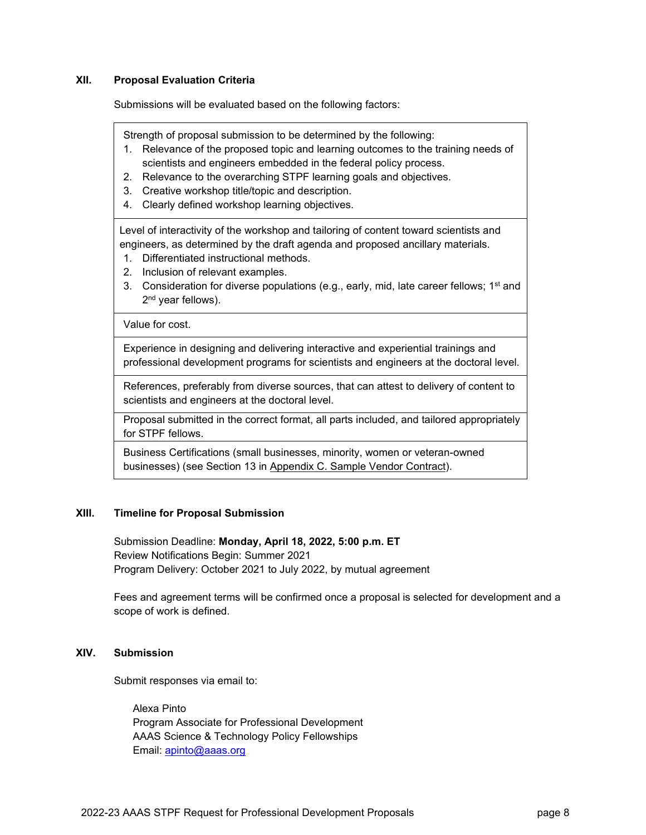#### **XII. Proposal Evaluation Criteria**

Submissions will be evaluated based on the following factors:

Strength of proposal submission to be determined by the following:

- 1. Relevance of the proposed topic and learning outcomes to the training needs of scientists and engineers embedded in the federal policy process.
- 2. Relevance to the overarching STPF learning goals and objectives.
- 3. Creative workshop title/topic and description.
- 4. Clearly defined workshop learning objectives.

Level of interactivity of the workshop and tailoring of content toward scientists and engineers, as determined by the draft agenda and proposed ancillary materials.

- 1. Differentiated instructional methods.
- 2. Inclusion of relevant examples.
- 3. Consideration for diverse populations (e.g., early, mid, late career fellows;  $1<sup>st</sup>$  and 2<sup>nd</sup> year fellows).

Value for cost.

Experience in designing and delivering interactive and experiential trainings and professional development programs for scientists and engineers at the doctoral level.

References, preferably from diverse sources, that can attest to delivery of content to scientists and engineers at the doctoral level.

Proposal submitted in the correct format, all parts included, and tailored appropriately for STPF fellows.

Business Certifications (small businesses, minority, women or veteran-owned businesses) (see Section 13 in Appendix C. Sample Vendor Contract).

#### **XIII. Timeline for Proposal Submission**

Submission Deadline: **Monday, April 18, 2022, 5:00 p.m. ET** Review Notifications Begin: Summer 2021 Program Delivery: October 2021 to July 2022, by mutual agreement

Fees and agreement terms will be confirmed once a proposal is selected for development and a scope of work is defined.

#### **XIV. Submission**

Submit responses via email to:

Alexa Pinto Program Associate for Professional Development AAAS Science & Technology Policy Fellowships Email: [apinto@aaas.org](mailto:apinto@aaas.org)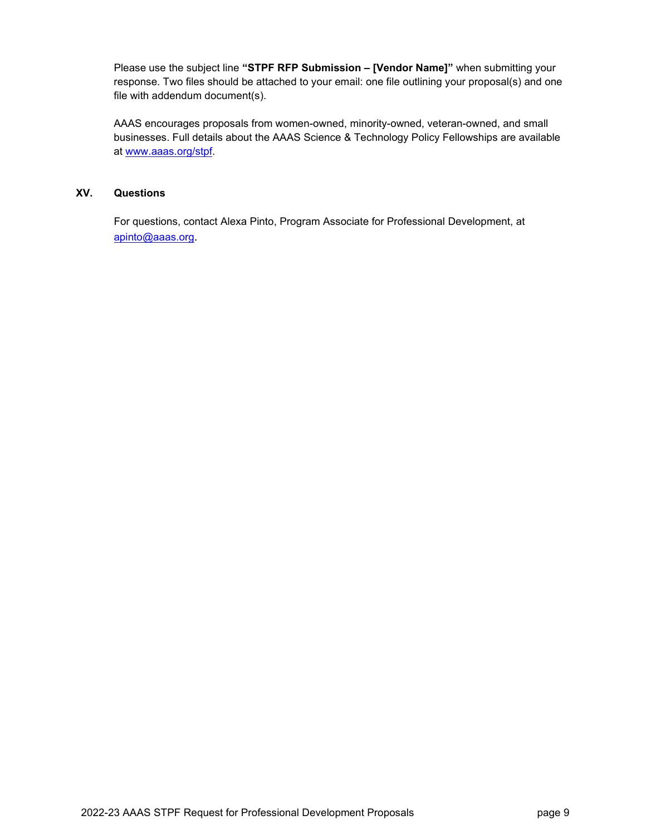Please use the subject line **"STPF RFP Submission – [Vendor Name]"** when submitting your response. Two files should be attached to your email: one file outlining your proposal(s) and one file with addendum document(s).

AAAS encourages proposals from women-owned, minority-owned, veteran-owned, and small businesses. Full details about the AAAS Science & Technology Policy Fellowships are available at [www.aaas.org/stpf.](http://www.aaas.org/stpf)

### **XV. Questions**

For questions, contact Alexa Pinto, Program Associate for Professional Development, at [apinto@aaas.org](mailto:apinto@aaas.org).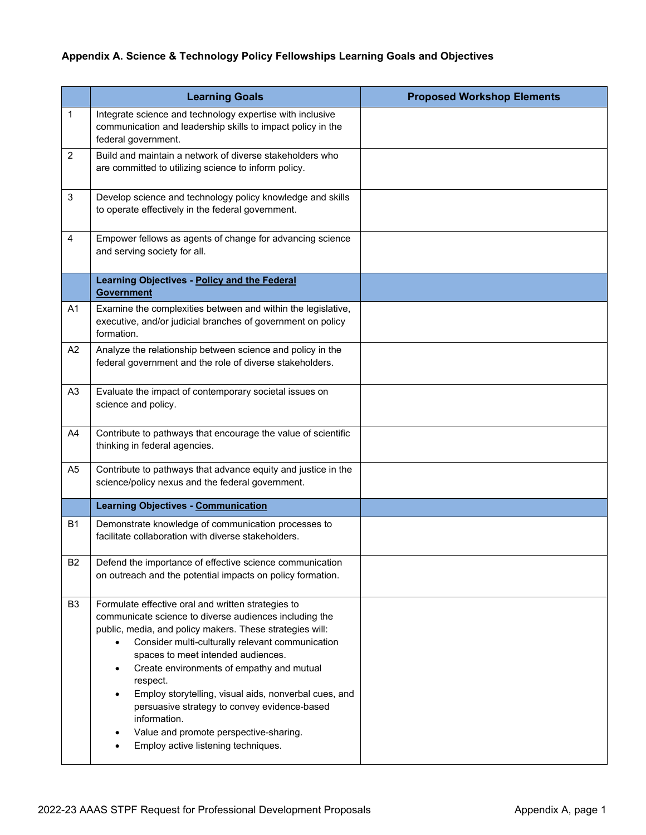# **Appendix A. Science & Technology Policy Fellowships Learning Goals and Objectives**

|                | <b>Learning Goals</b>                                                                                                                                                                                                                                                                                                                                                                                                                                                                                                                 | <b>Proposed Workshop Elements</b> |
|----------------|---------------------------------------------------------------------------------------------------------------------------------------------------------------------------------------------------------------------------------------------------------------------------------------------------------------------------------------------------------------------------------------------------------------------------------------------------------------------------------------------------------------------------------------|-----------------------------------|
| 1              | Integrate science and technology expertise with inclusive<br>communication and leadership skills to impact policy in the<br>federal government.                                                                                                                                                                                                                                                                                                                                                                                       |                                   |
| $\overline{c}$ | Build and maintain a network of diverse stakeholders who<br>are committed to utilizing science to inform policy.                                                                                                                                                                                                                                                                                                                                                                                                                      |                                   |
| 3              | Develop science and technology policy knowledge and skills<br>to operate effectively in the federal government.                                                                                                                                                                                                                                                                                                                                                                                                                       |                                   |
| $\overline{4}$ | Empower fellows as agents of change for advancing science<br>and serving society for all.                                                                                                                                                                                                                                                                                                                                                                                                                                             |                                   |
|                | Learning Objectives - Policy and the Federal<br><b>Government</b>                                                                                                                                                                                                                                                                                                                                                                                                                                                                     |                                   |
| A <sub>1</sub> | Examine the complexities between and within the legislative,<br>executive, and/or judicial branches of government on policy<br>formation.                                                                                                                                                                                                                                                                                                                                                                                             |                                   |
| A <sub>2</sub> | Analyze the relationship between science and policy in the<br>federal government and the role of diverse stakeholders.                                                                                                                                                                                                                                                                                                                                                                                                                |                                   |
| A <sub>3</sub> | Evaluate the impact of contemporary societal issues on<br>science and policy.                                                                                                                                                                                                                                                                                                                                                                                                                                                         |                                   |
| A4             | Contribute to pathways that encourage the value of scientific<br>thinking in federal agencies.                                                                                                                                                                                                                                                                                                                                                                                                                                        |                                   |
| A <sub>5</sub> | Contribute to pathways that advance equity and justice in the<br>science/policy nexus and the federal government.                                                                                                                                                                                                                                                                                                                                                                                                                     |                                   |
|                | <b>Learning Objectives - Communication</b>                                                                                                                                                                                                                                                                                                                                                                                                                                                                                            |                                   |
| <b>B1</b>      | Demonstrate knowledge of communication processes to<br>facilitate collaboration with diverse stakeholders.                                                                                                                                                                                                                                                                                                                                                                                                                            |                                   |
| B <sub>2</sub> | Defend the importance of effective science communication<br>on outreach and the potential impacts on policy formation.                                                                                                                                                                                                                                                                                                                                                                                                                |                                   |
| B <sub>3</sub> | Formulate effective oral and written strategies to<br>communicate science to diverse audiences including the<br>public, media, and policy makers. These strategies will:<br>Consider multi-culturally relevant communication<br>spaces to meet intended audiences.<br>Create environments of empathy and mutual<br>respect.<br>Employ storytelling, visual aids, nonverbal cues, and<br>persuasive strategy to convey evidence-based<br>information.<br>Value and promote perspective-sharing.<br>Employ active listening techniques. |                                   |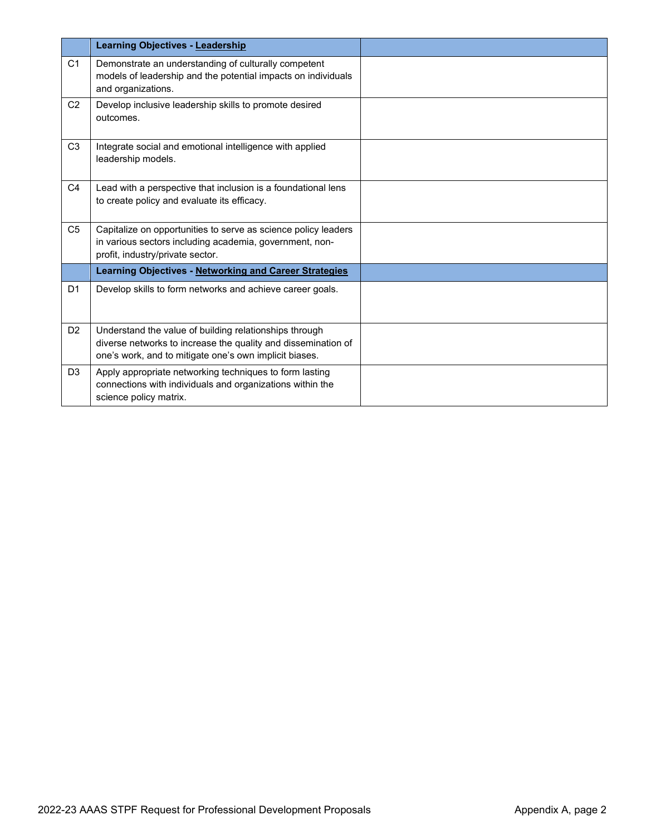|                | <b>Learning Objectives - Leadership</b>                                                                                                                                           |  |
|----------------|-----------------------------------------------------------------------------------------------------------------------------------------------------------------------------------|--|
| C <sub>1</sub> | Demonstrate an understanding of culturally competent<br>models of leadership and the potential impacts on individuals<br>and organizations.                                       |  |
| C <sub>2</sub> | Develop inclusive leadership skills to promote desired<br>outcomes.                                                                                                               |  |
| C <sub>3</sub> | Integrate social and emotional intelligence with applied<br>leadership models.                                                                                                    |  |
| C <sub>4</sub> | Lead with a perspective that inclusion is a foundational lens<br>to create policy and evaluate its efficacy.                                                                      |  |
| C <sub>5</sub> | Capitalize on opportunities to serve as science policy leaders<br>in various sectors including academia, government, non-<br>profit, industry/private sector.                     |  |
|                | Learning Objectives - Networking and Career Strategies                                                                                                                            |  |
| D <sub>1</sub> | Develop skills to form networks and achieve career goals.                                                                                                                         |  |
| D <sub>2</sub> | Understand the value of building relationships through<br>diverse networks to increase the quality and dissemination of<br>one's work, and to mitigate one's own implicit biases. |  |
| D <sub>3</sub> | Apply appropriate networking techniques to form lasting<br>connections with individuals and organizations within the<br>science policy matrix.                                    |  |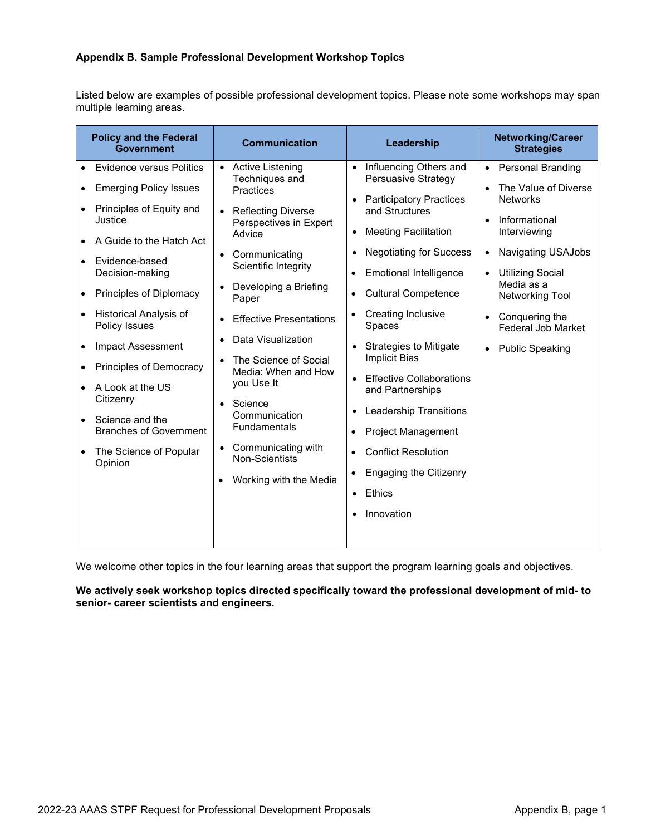### **Appendix B. Sample Professional Development Workshop Topics**

Listed below are examples of possible professional development topics. Please note some workshops may span multiple learning areas.

| <b>Policy and the Federal</b><br>Government                                                                                                                                                                                                                                                                                                                                                                       | <b>Communication</b>                                                                                                                                                                                                                                                                                                                                                                                                                                                          | Leadership                                                                                                                                                                                                                                                                                                                                                                                                                                                                                                                                                                                                                                                                                                             | <b>Networking/Career</b><br><b>Strategies</b>                                                                                                                                                                                                                                                                                                 |
|-------------------------------------------------------------------------------------------------------------------------------------------------------------------------------------------------------------------------------------------------------------------------------------------------------------------------------------------------------------------------------------------------------------------|-------------------------------------------------------------------------------------------------------------------------------------------------------------------------------------------------------------------------------------------------------------------------------------------------------------------------------------------------------------------------------------------------------------------------------------------------------------------------------|------------------------------------------------------------------------------------------------------------------------------------------------------------------------------------------------------------------------------------------------------------------------------------------------------------------------------------------------------------------------------------------------------------------------------------------------------------------------------------------------------------------------------------------------------------------------------------------------------------------------------------------------------------------------------------------------------------------------|-----------------------------------------------------------------------------------------------------------------------------------------------------------------------------------------------------------------------------------------------------------------------------------------------------------------------------------------------|
| Evidence versus Politics<br><b>Emerging Policy Issues</b><br>Principles of Equity and<br>Justice<br>A Guide to the Hatch Act<br>Evidence-based<br>Decision-making<br>Principles of Diplomacy<br>Historical Analysis of<br>Policy Issues<br>Impact Assessment<br>Principles of Democracy<br>A Look at the US<br>Citizenry<br>Science and the<br><b>Branches of Government</b><br>The Science of Popular<br>Opinion | <b>Active Listening</b><br>$\bullet$<br>Techniques and<br><b>Practices</b><br>• Reflecting Diverse<br>Perspectives in Expert<br>Advice<br>• Communicating<br>Scientific Integrity<br>Developing a Briefing<br>Paper<br><b>Effective Presentations</b><br>Data Visualization<br>The Science of Social<br>Media: When and How<br>you Use It<br>Science<br>Communication<br>Fundamentals<br>• Communicating with<br><b>Non-Scientists</b><br>Working with the Media<br>$\bullet$ | Influencing Others and<br>$\bullet$<br>Persuasive Strategy<br><b>Participatory Practices</b><br>$\bullet$<br>and Structures<br><b>Meeting Facilitation</b><br>$\bullet$<br><b>Negotiating for Success</b><br>$\bullet$<br><b>Emotional Intelligence</b><br>$\bullet$<br><b>Cultural Competence</b><br>$\bullet$<br><b>Creating Inclusive</b><br>$\bullet$<br>Spaces<br><b>Strategies to Mitigate</b><br><b>Implicit Bias</b><br><b>Effective Collaborations</b><br>$\bullet$<br>and Partnerships<br><b>Leadership Transitions</b><br>$\bullet$<br><b>Project Management</b><br><b>Conflict Resolution</b><br>$\bullet$<br><b>Engaging the Citizenry</b><br>$\bullet$<br>Ethics<br>$\bullet$<br>Innovation<br>$\bullet$ | <b>Personal Branding</b><br>$\bullet$<br>The Value of Diverse<br>$\bullet$<br><b>Networks</b><br>Informational<br>$\bullet$<br>Interviewing<br>Navigating USAJobs<br>$\bullet$<br><b>Utilizing Social</b><br>Media as a<br>Networking Tool<br>Conquering the<br>$\bullet$<br><b>Federal Job Market</b><br><b>Public Speaking</b><br>$\bullet$ |
|                                                                                                                                                                                                                                                                                                                                                                                                                   |                                                                                                                                                                                                                                                                                                                                                                                                                                                                               |                                                                                                                                                                                                                                                                                                                                                                                                                                                                                                                                                                                                                                                                                                                        |                                                                                                                                                                                                                                                                                                                                               |

We welcome other topics in the four learning areas that support the program learning goals and objectives.

#### **We actively seek workshop topics directed specifically toward the professional development of mid- to senior- career scientists and engineers.**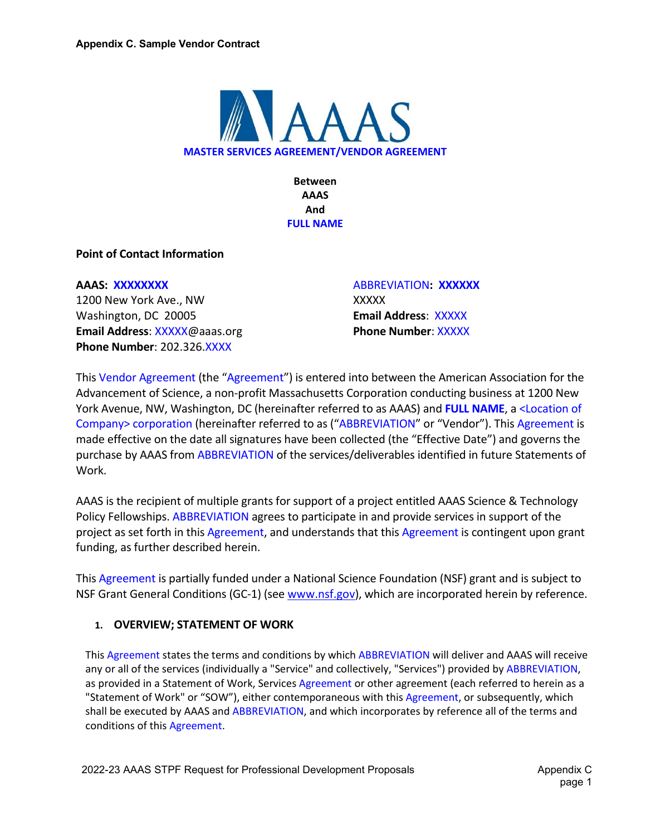

**Between AAAS And FULL NAME**

**Point of Contact Information**

### **AAAS: XXXXXXXX**

1200 New York Ave., NW Washington, DC 20005 **Email Address**: XXXXX@aaas.org **Phone Number**: 202.326.XXXX

ABBREVIATION**: XXXXXX** XXXXX **Email Address**:XXXXX **Phone Number**: XXXXX

This Vendor Agreement (the "Agreement") is entered into between the American Association for the Advancement of Science, a non-profit Massachusetts Corporation conducting business at 1200 New York Avenue, NW, Washington, DC (hereinafter referred to as AAAS) and **FULL NAME**, a <Location of Company> corporation (hereinafter referred to as ("ABBREVIATION" or "Vendor"). This Agreement is made effective on the date all signatures have been collected (the "Effective Date") and governs the purchase by AAAS from ABBREVIATION of the services/deliverables identified in future Statements of Work.

AAAS is the recipient of multiple grants for support of a project entitled AAAS Science & Technology Policy Fellowships. ABBREVIATION agrees to participate in and provide services in support of the project as set forth in this Agreement, and understands that this Agreement is contingent upon grant funding, as further described herein.

This Agreement is partially funded under a National Science Foundation (NSF) grant and is subject to NSF Grant General Conditions (GC-1) (se[e www.nsf.gov\)](http://www.nsf.gov/), which are incorporated herein by reference.

## **1. OVERVIEW; STATEMENT OF WORK**

This Agreement states the terms and conditions by which ABBREVIATION will deliver and AAAS will receive any or all of the services (individually a "Service" and collectively, "Services") provided by ABBREVIATION, as provided in a Statement of Work, Services Agreement or other agreement (each referred to herein as a "Statement of Work" or "SOW"), either contemporaneous with this Agreement, or subsequently, which shall be executed by AAAS and ABBREVIATION, and which incorporates by reference all of the terms and conditions of this Agreement.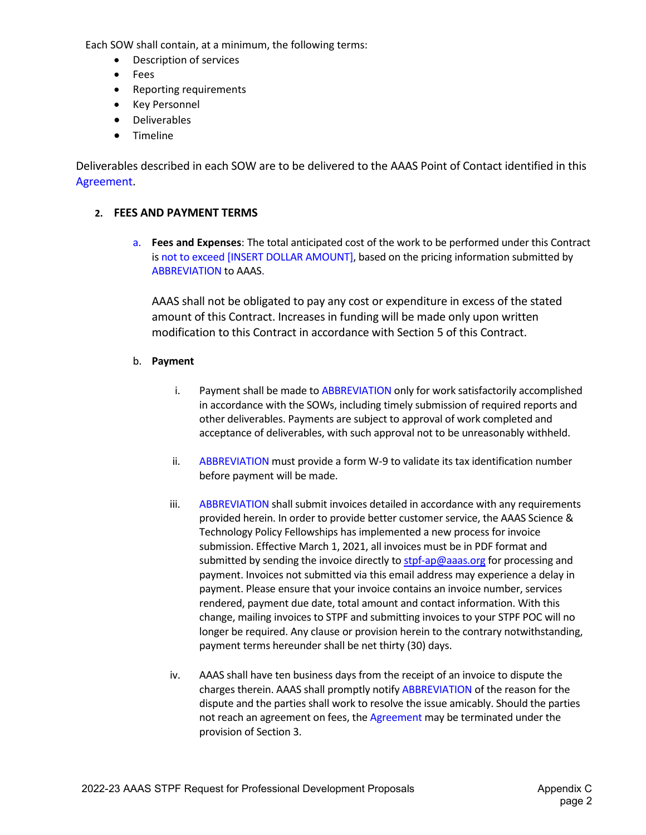Each SOW shall contain, at a minimum, the following terms:

- Description of services
- Fees
- Reporting requirements
- Key Personnel
- Deliverables
- Timeline

Deliverables described in each SOW are to be delivered to the AAAS Point of Contact identified in this Agreement.

## **2. FEES AND PAYMENT TERMS**

a. **Fees and Expenses**: The total anticipated cost of the work to be performed under this Contract is not to exceed [INSERT DOLLAR AMOUNT], based on the pricing information submitted by ABBREVIATION to AAAS.

AAAS shall not be obligated to pay any cost or expenditure in excess of the stated amount of this Contract. Increases in funding will be made only upon written modification to this Contract in accordance with Section 5 of this Contract.

## b. **Payment**

- i. Payment shall be made to ABBREVIATION only for work satisfactorily accomplished in accordance with the SOWs, including timely submission of required reports and other deliverables. Payments are subject to approval of work completed and acceptance of deliverables, with such approval not to be unreasonably withheld.
- ii. ABBREVIATION must provide a form W-9 to validate its tax identification number before payment will be made.
- iii. ABBREVIATION shall submit invoices detailed in accordance with any requirements provided herein. In order to provide better customer service, the AAAS Science & Technology Policy Fellowships has implemented a new process for invoice submission. Effective March 1, 2021, all invoices must be in PDF format and submitted by sending the invoice directly to [stpf-ap@aaas.org](mailto:stpf-ap@aaas.org) for processing and payment. Invoices not submitted via this email address may experience a delay in payment. Please ensure that your invoice contains an invoice number, services rendered, payment due date, total amount and contact information. With this change, mailing invoices to STPF and submitting invoices to your STPF POC will no longer be required. Any clause or provision herein to the contrary notwithstanding, payment terms hereunder shall be net thirty (30) days.
- iv. AAAS shall have ten business days from the receipt of an invoice to dispute the charges therein. AAAS shall promptly notify ABBREVIATION of the reason for the dispute and the parties shall work to resolve the issue amicably. Should the parties not reach an agreement on fees, the Agreement may be terminated under the provision of Section 3.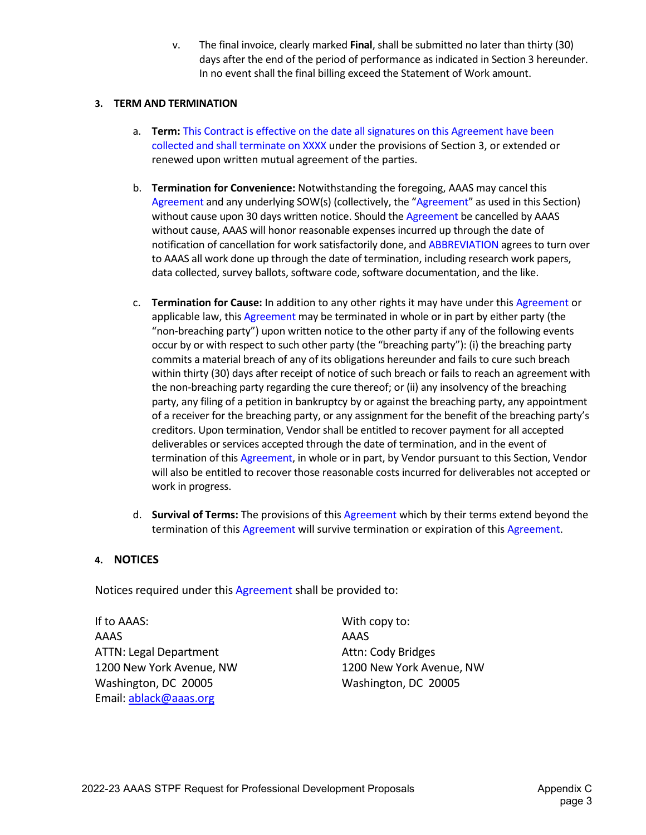v. The final invoice, clearly marked **Final**, shall be submitted no later than thirty (30) days after the end of the period of performance as indicated in Section 3 hereunder. In no event shall the final billing exceed the Statement of Work amount.

### **3. TERM AND TERMINATION**

- a. **Term:** This Contract is effective on the date all signatures on this Agreement have been collected and shall terminate on XXXX under the provisions of Section 3, or extended or renewed upon written mutual agreement of the parties.
- b. **Termination for Convenience:** Notwithstanding the foregoing, AAAS may cancel this Agreement and any underlying SOW(s) (collectively, the "Agreement" as used in this Section) without cause upon 30 days written notice. Should the Agreement be cancelled by AAAS without cause, AAAS will honor reasonable expenses incurred up through the date of notification of cancellation for work satisfactorily done, and ABBREVIATION agrees to turn over to AAAS all work done up through the date of termination, including research work papers, data collected, survey ballots, software code, software documentation, and the like.
- c. **Termination for Cause:** In addition to any other rights it may have under this Agreement or applicable law, this Agreement may be terminated in whole or in part by either party (the "non-breaching party") upon written notice to the other party if any of the following events occur by or with respect to such other party (the "breaching party"): (i) the breaching party commits a material breach of any of its obligations hereunder and fails to cure such breach within thirty (30) days after receipt of notice of such breach or fails to reach an agreement with the non-breaching party regarding the cure thereof; or (ii) any insolvency of the breaching party, any filing of a petition in bankruptcy by or against the breaching party, any appointment of a receiver for the breaching party, or any assignment for the benefit of the breaching party's creditors. Upon termination, Vendor shall be entitled to recover payment for all accepted deliverables or services accepted through the date of termination, and in the event of termination of this Agreement, in whole or in part, by Vendor pursuant to this Section, Vendor will also be entitled to recover those reasonable costs incurred for deliverables not accepted or work in progress.
- d. **Survival of Terms:** The provisions of this Agreement which by their terms extend beyond the termination of this Agreement will survive termination or expiration of this Agreement.

## **4. NOTICES**

Notices required under this Agreement shall be provided to:

If to AAAS: With copy to: AAAS AAAS ATTN: Legal Department Attn: Cody Bridges 1200 New York Avenue, NW 1200 New York Avenue, NW Washington, DC 20005 Washington, DC 20005 Email: [ablack@aaas.org](mailto:ablack@aaas.org)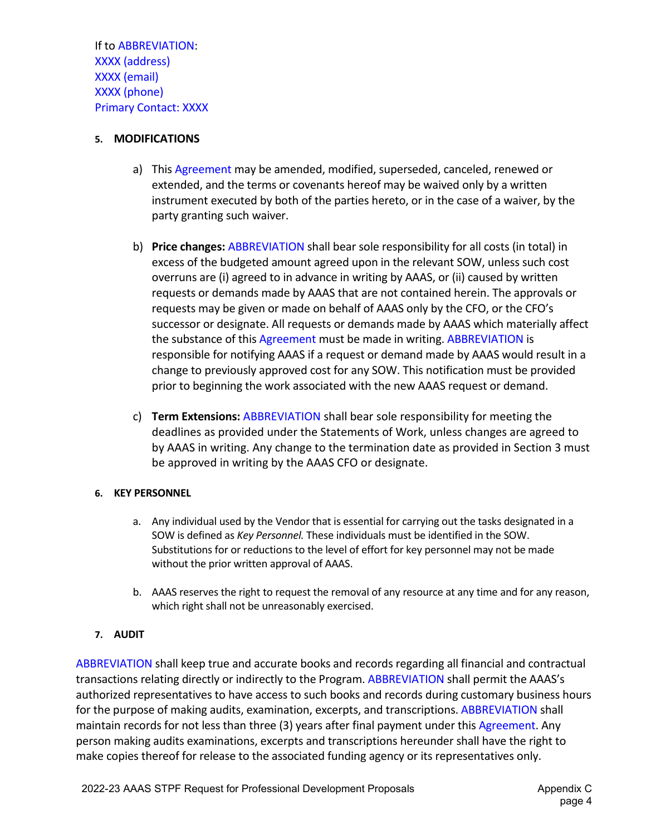If to ABBREVIATION: XXXX (address) XXXX (email) XXXX (phone) Primary Contact: XXXX

## **5. MODIFICATIONS**

- a) This Agreement may be amended, modified, superseded, canceled, renewed or extended, and the terms or covenants hereof may be waived only by a written instrument executed by both of the parties hereto, or in the case of a waiver, by the party granting such waiver.
- b) **Price changes:** ABBREVIATION shall bear sole responsibility for all costs (in total) in excess of the budgeted amount agreed upon in the relevant SOW, unless such cost overruns are (i) agreed to in advance in writing by AAAS, or (ii) caused by written requests or demands made by AAAS that are not contained herein. The approvals or requests may be given or made on behalf of AAAS only by the CFO, or the CFO's successor or designate. All requests or demands made by AAAS which materially affect the substance of this Agreement must be made in writing. ABBREVIATION is responsible for notifying AAAS if a request or demand made by AAAS would result in a change to previously approved cost for any SOW. This notification must be provided prior to beginning the work associated with the new AAAS request or demand.
- c) **Term Extensions:** ABBREVIATION shall bear sole responsibility for meeting the deadlines as provided under the Statements of Work, unless changes are agreed to by AAAS in writing. Any change to the termination date as provided in Section 3 must be approved in writing by the AAAS CFO or designate.

## **6. KEY PERSONNEL**

- a. Any individual used by the Vendor that is essential for carrying out the tasks designated in a SOW is defined as *Key Personnel.* These individuals must be identified in the SOW. Substitutions for or reductions to the level of effort for key personnel may not be made without the prior written approval of AAAS.
- b. AAAS reserves the right to request the removal of any resource at any time and for any reason, which right shall not be unreasonably exercised.

# **7. AUDIT**

ABBREVIATION shall keep true and accurate books and records regarding all financial and contractual transactions relating directly or indirectly to the Program. ABBREVIATION shall permit the AAAS's authorized representatives to have access to such books and records during customary business hours for the purpose of making audits, examination, excerpts, and transcriptions. ABBREVIATION shall maintain records for not less than three (3) years after final payment under this Agreement. Any person making audits examinations, excerpts and transcriptions hereunder shall have the right to make copies thereof for release to the associated funding agency or its representatives only.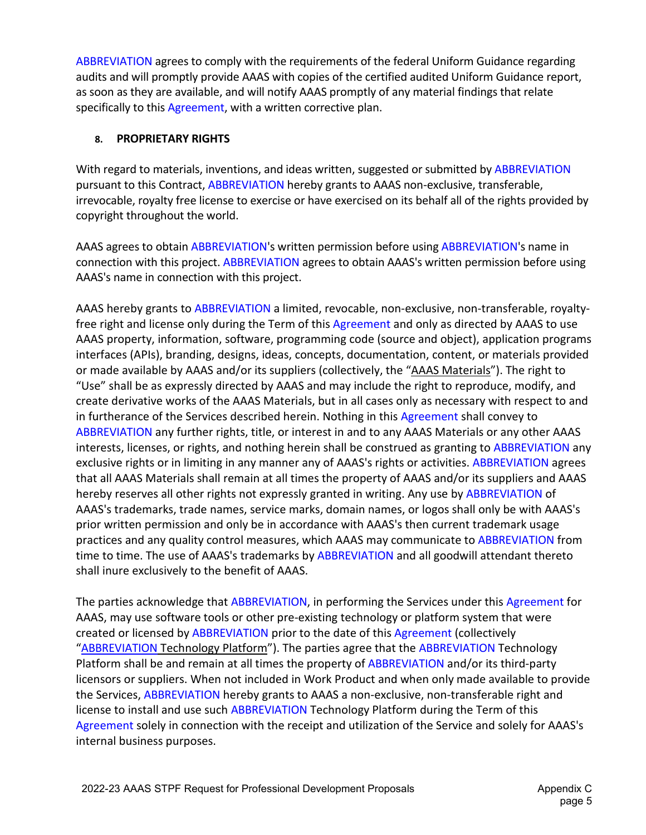ABBREVIATION agrees to comply with the requirements of the federal Uniform Guidance regarding audits and will promptly provide AAAS with copies of the certified audited Uniform Guidance report, as soon as they are available, and will notify AAAS promptly of any material findings that relate specifically to this Agreement, with a written corrective plan.

## **8. PROPRIETARY RIGHTS**

With regard to materials, inventions, and ideas written, suggested or submitted by ABBREVIATION pursuant to this Contract, ABBREVIATION hereby grants to AAAS non-exclusive, transferable, irrevocable, royalty free license to exercise or have exercised on its behalf all of the rights provided by copyright throughout the world.

AAAS agrees to obtain ABBREVIATION's written permission before using ABBREVIATION's name in connection with this project. ABBREVIATION agrees to obtain AAAS's written permission before using AAAS's name in connection with this project.

AAAS hereby grants to ABBREVIATION a limited, revocable, non-exclusive, non-transferable, royaltyfree right and license only during the Term of this Agreement and only as directed by AAAS to use AAAS property, information, software, programming code (source and object), application programs interfaces (APIs), branding, designs, ideas, concepts, documentation, content, or materials provided or made available by AAAS and/or its suppliers (collectively, the "AAAS Materials"). The right to "Use" shall be as expressly directed by AAAS and may include the right to reproduce, modify, and create derivative works of the AAAS Materials, but in all cases only as necessary with respect to and in furtherance of the Services described herein. Nothing in this Agreement shall convey to ABBREVIATION any further rights, title, or interest in and to any AAAS Materials or any other AAAS interests, licenses, or rights, and nothing herein shall be construed as granting to ABBREVIATION any exclusive rights or in limiting in any manner any of AAAS's rights or activities. ABBREVIATION agrees that all AAAS Materials shall remain at all times the property of AAAS and/or its suppliers and AAAS hereby reserves all other rights not expressly granted in writing. Any use by ABBREVIATION of AAAS's trademarks, trade names, service marks, domain names, or logos shall only be with AAAS's prior written permission and only be in accordance with AAAS's then current trademark usage practices and any quality control measures, which AAAS may communicate to ABBREVIATION from time to time. The use of AAAS's trademarks by ABBREVIATION and all goodwill attendant thereto shall inure exclusively to the benefit of AAAS.

The parties acknowledge that ABBREVIATION, in performing the Services under this Agreement for AAAS, may use software tools or other pre-existing technology or platform system that were created or licensed by ABBREVIATION prior to the date of this Agreement (collectively "ABBREVIATION Technology Platform"). The parties agree that the ABBREVIATION Technology Platform shall be and remain at all times the property of ABBREVIATION and/or its third-party licensors or suppliers. When not included in Work Product and when only made available to provide the Services, ABBREVIATION hereby grants to AAAS a non-exclusive, non-transferable right and license to install and use such ABBREVIATION Technology Platform during the Term of this Agreement solely in connection with the receipt and utilization of the Service and solely for AAAS's internal business purposes.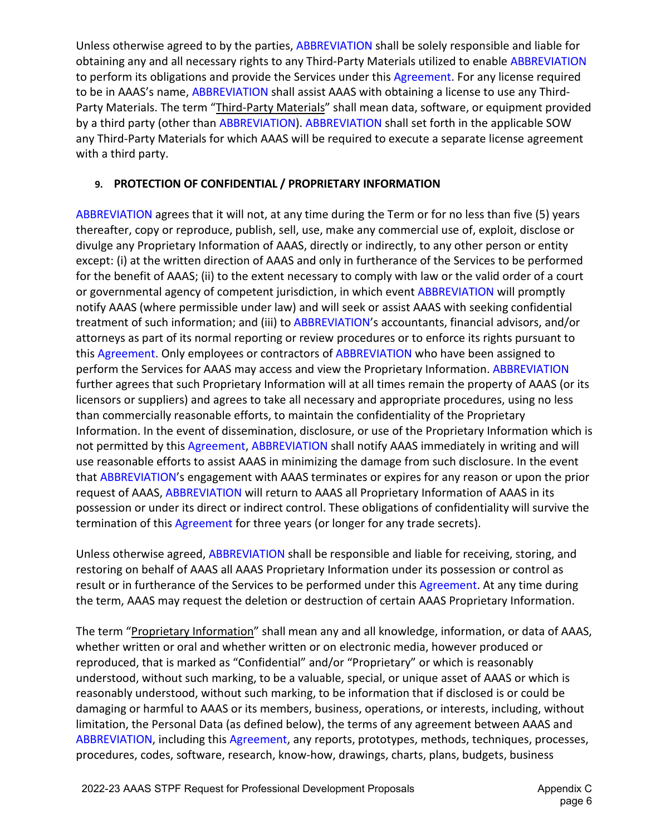Unless otherwise agreed to by the parties, ABBREVIATION shall be solely responsible and liable for obtaining any and all necessary rights to any Third-Party Materials utilized to enable ABBREVIATION to perform its obligations and provide the Services under this Agreement. For any license required to be in AAAS's name, ABBREVIATION shall assist AAAS with obtaining a license to use any Third-Party Materials. The term "Third-Party Materials" shall mean data, software, or equipment provided by a third party (other than ABBREVIATION). ABBREVIATION shall set forth in the applicable SOW any Third-Party Materials for which AAAS will be required to execute a separate license agreement with a third party.

# **9. PROTECTION OF CONFIDENTIAL / PROPRIETARY INFORMATION**

ABBREVIATION agrees that it will not, at any time during the Term or for no less than five (5) years thereafter, copy or reproduce, publish, sell, use, make any commercial use of, exploit, disclose or divulge any Proprietary Information of AAAS, directly or indirectly, to any other person or entity except: (i) at the written direction of AAAS and only in furtherance of the Services to be performed for the benefit of AAAS; (ii) to the extent necessary to comply with law or the valid order of a court or governmental agency of competent jurisdiction, in which event ABBREVIATION will promptly notify AAAS (where permissible under law) and will seek or assist AAAS with seeking confidential treatment of such information; and (iii) to ABBREVIATION's accountants, financial advisors, and/or attorneys as part of its normal reporting or review procedures or to enforce its rights pursuant to this Agreement. Only employees or contractors of ABBREVIATION who have been assigned to perform the Services for AAAS may access and view the Proprietary Information. ABBREVIATION further agrees that such Proprietary Information will at all times remain the property of AAAS (or its licensors or suppliers) and agrees to take all necessary and appropriate procedures, using no less than commercially reasonable efforts, to maintain the confidentiality of the Proprietary Information. In the event of dissemination, disclosure, or use of the Proprietary Information which is not permitted by this Agreement, ABBREVIATION shall notify AAAS immediately in writing and will use reasonable efforts to assist AAAS in minimizing the damage from such disclosure. In the event that ABBREVIATION's engagement with AAAS terminates or expires for any reason or upon the prior request of AAAS, ABBREVIATION will return to AAAS all Proprietary Information of AAAS in its possession or under its direct or indirect control. These obligations of confidentiality will survive the termination of this Agreement for three years (or longer for any trade secrets).

Unless otherwise agreed, ABBREVIATION shall be responsible and liable for receiving, storing, and restoring on behalf of AAAS all AAAS Proprietary Information under its possession or control as result or in furtherance of the Services to be performed under this Agreement. At any time during the term, AAAS may request the deletion or destruction of certain AAAS Proprietary Information.

The term "Proprietary Information" shall mean any and all knowledge, information, or data of AAAS, whether written or oral and whether written or on electronic media, however produced or reproduced, that is marked as "Confidential" and/or "Proprietary" or which is reasonably understood, without such marking, to be a valuable, special, or unique asset of AAAS or which is reasonably understood, without such marking, to be information that if disclosed is or could be damaging or harmful to AAAS or its members, business, operations, or interests, including, without limitation, the Personal Data (as defined below), the terms of any agreement between AAAS and ABBREVIATION, including this Agreement, any reports, prototypes, methods, techniques, processes, procedures, codes, software, research, know-how, drawings, charts, plans, budgets, business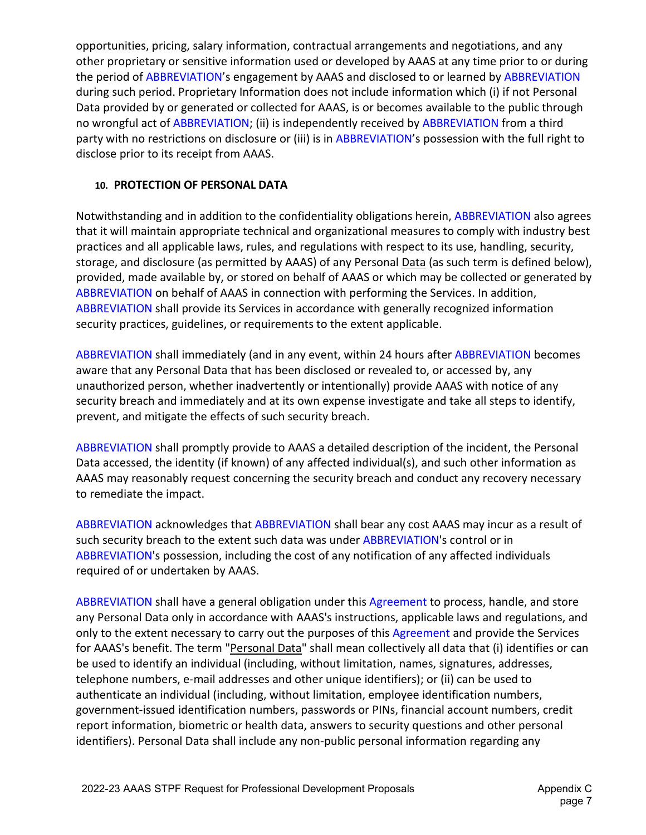opportunities, pricing, salary information, contractual arrangements and negotiations, and any other proprietary or sensitive information used or developed by AAAS at any time prior to or during the period of ABBREVIATION's engagement by AAAS and disclosed to or learned by ABBREVIATION during such period. Proprietary Information does not include information which (i) if not Personal Data provided by or generated or collected for AAAS, is or becomes available to the public through no wrongful act of ABBREVIATION; (ii) is independently received by ABBREVIATION from a third party with no restrictions on disclosure or (iii) is in ABBREVIATION's possession with the full right to disclose prior to its receipt from AAAS.

# **10. PROTECTION OF PERSONAL DATA**

Notwithstanding and in addition to the confidentiality obligations herein, ABBREVIATION also agrees that it will maintain appropriate technical and organizational measures to comply with industry best practices and all applicable laws, rules, and regulations with respect to its use, handling, security, storage, and disclosure (as permitted by AAAS) of any Personal Data (as such term is defined below), provided, made available by, or stored on behalf of AAAS or which may be collected or generated by ABBREVIATION on behalf of AAAS in connection with performing the Services. In addition, ABBREVIATION shall provide its Services in accordance with generally recognized information security practices, guidelines, or requirements to the extent applicable.

ABBREVIATION shall immediately (and in any event, within 24 hours after ABBREVIATION becomes aware that any Personal Data that has been disclosed or revealed to, or accessed by, any unauthorized person, whether inadvertently or intentionally) provide AAAS with notice of any security breach and immediately and at its own expense investigate and take all steps to identify, prevent, and mitigate the effects of such security breach.

ABBREVIATION shall promptly provide to AAAS a detailed description of the incident, the Personal Data accessed, the identity (if known) of any affected individual(s), and such other information as AAAS may reasonably request concerning the security breach and conduct any recovery necessary to remediate the impact.

ABBREVIATION acknowledges that ABBREVIATION shall bear any cost AAAS may incur as a result of such security breach to the extent such data was under ABBREVIATION's control or in ABBREVIATION's possession, including the cost of any notification of any affected individuals required of or undertaken by AAAS.

ABBREVIATION shall have a general obligation under this Agreement to process, handle, and store any Personal Data only in accordance with AAAS's instructions, applicable laws and regulations, and only to the extent necessary to carry out the purposes of this Agreement and provide the Services for AAAS's benefit. The term "Personal Data" shall mean collectively all data that (i) identifies or can be used to identify an individual (including, without limitation, names, signatures, addresses, telephone numbers, e-mail addresses and other unique identifiers); or (ii) can be used to authenticate an individual (including, without limitation, employee identification numbers, government-issued identification numbers, passwords or PINs, financial account numbers, credit report information, biometric or health data, answers to security questions and other personal identifiers). Personal Data shall include any non-public personal information regarding any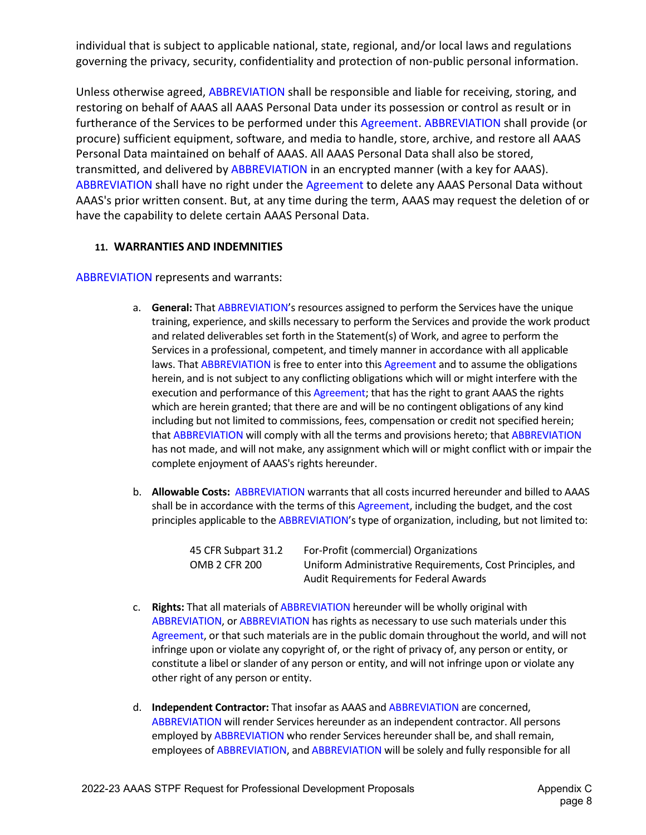individual that is subject to applicable national, state, regional, and/or local laws and regulations governing the privacy, security, confidentiality and protection of non-public personal information.

Unless otherwise agreed, ABBREVIATION shall be responsible and liable for receiving, storing, and restoring on behalf of AAAS all AAAS Personal Data under its possession or control as result or in furtherance of the Services to be performed under this Agreement. ABBREVIATION shall provide (or procure) sufficient equipment, software, and media to handle, store, archive, and restore all AAAS Personal Data maintained on behalf of AAAS. All AAAS Personal Data shall also be stored, transmitted, and delivered by ABBREVIATION in an encrypted manner (with a key for AAAS). ABBREVIATION shall have no right under the Agreement to delete any AAAS Personal Data without AAAS's prior written consent. But, at any time during the term, AAAS may request the deletion of or have the capability to delete certain AAAS Personal Data.

## **11. WARRANTIES AND INDEMNITIES**

ABBREVIATION represents and warrants:

- a. **General:** That ABBREVIATION's resources assigned to perform the Services have the unique training, experience, and skills necessary to perform the Services and provide the work product and related deliverables set forth in the Statement(s) of Work, and agree to perform the Services in a professional, competent, and timely manner in accordance with all applicable laws. That ABBREVIATION is free to enter into this Agreement and to assume the obligations herein, and is not subject to any conflicting obligations which will or might interfere with the execution and performance of this Agreement; that has the right to grant AAAS the rights which are herein granted; that there are and will be no contingent obligations of any kind including but not limited to commissions, fees, compensation or credit not specified herein; that ABBREVIATION will comply with all the terms and provisions hereto; that ABBREVIATION has not made, and will not make, any assignment which will or might conflict with or impair the complete enjoyment of AAAS's rights hereunder.
- b. **Allowable Costs:** ABBREVIATION warrants that all costs incurred hereunder and billed to AAAS shall be in accordance with the terms of this Agreement, including the budget, and the cost principles applicable to the ABBREVIATION's type of organization, including, but not limited to:

| 45 CFR Subpart 31.2 | For-Profit (commercial) Organizations                     |
|---------------------|-----------------------------------------------------------|
| OMB 2 CFR 200       | Uniform Administrative Requirements, Cost Principles, and |
|                     | <b>Audit Requirements for Federal Awards</b>              |

- c. **Rights:** That all materials of ABBREVIATION hereunder will be wholly original with ABBREVIATION, or ABBREVIATION has rights as necessary to use such materials under this Agreement, or that such materials are in the public domain throughout the world, and will not infringe upon or violate any copyright of, or the right of privacy of, any person or entity, or constitute a libel or slander of any person or entity, and will not infringe upon or violate any other right of any person or entity.
- d. **Independent Contractor:** That insofar as AAAS and ABBREVIATION are concerned, ABBREVIATION will render Services hereunder as an independent contractor. All persons employed by ABBREVIATION who render Services hereunder shall be, and shall remain, employees of ABBREVIATION, and ABBREVIATION will be solely and fully responsible for all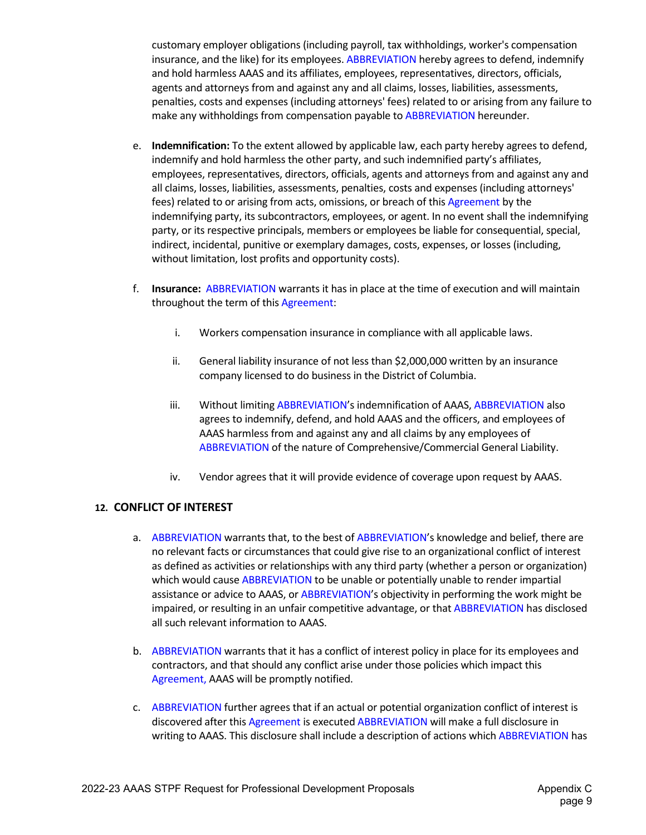customary employer obligations (including payroll, tax withholdings, worker's compensation insurance, and the like) for its employees. ABBREVIATION hereby agrees to defend, indemnify and hold harmless AAAS and its affiliates, employees, representatives, directors, officials, agents and attorneys from and against any and all claims, losses, liabilities, assessments, penalties, costs and expenses (including attorneys' fees) related to or arising from any failure to make any withholdings from compensation payable to ABBREVIATION hereunder.

- e. **Indemnification:** To the extent allowed by applicable law, each party hereby agrees to defend, indemnify and hold harmless the other party, and such indemnified party's affiliates, employees, representatives, directors, officials, agents and attorneys from and against any and all claims, losses, liabilities, assessments, penalties, costs and expenses (including attorneys' fees) related to or arising from acts, omissions, or breach of this Agreement by the indemnifying party, its subcontractors, employees, or agent. In no event shall the indemnifying party, or its respective principals, members or employees be liable for consequential, special, indirect, incidental, punitive or exemplary damages, costs, expenses, or losses (including, without limitation, lost profits and opportunity costs).
- f. **Insurance:** ABBREVIATION warrants it has in place at the time of execution and will maintain throughout the term of this Agreement:
	- i. Workers compensation insurance in compliance with all applicable laws.
	- ii. General liability insurance of not less than \$2,000,000 written by an insurance company licensed to do business in the District of Columbia.
	- iii. Without limiting ABBREVIATION's indemnification of AAAS, ABBREVIATION also agrees to indemnify, defend, and hold AAAS and the officers, and employees of AAAS harmless from and against any and all claims by any employees of ABBREVIATION of the nature of Comprehensive/Commercial General Liability.
	- iv. Vendor agrees that it will provide evidence of coverage upon request by AAAS.

## **12. CONFLICT OF INTEREST**

- a. ABBREVIATION warrants that, to the best of ABBREVIATION's knowledge and belief, there are no relevant facts or circumstances that could give rise to an organizational conflict of interest as defined as activities or relationships with any third party (whether a person or organization) which would cause ABBREVIATION to be unable or potentially unable to render impartial assistance or advice to AAAS, or ABBREVIATION's objectivity in performing the work might be impaired, or resulting in an unfair competitive advantage, or that ABBREVIATION has disclosed all such relevant information to AAAS.
- b. ABBREVIATION warrants that it has a conflict of interest policy in place for its employees and contractors, and that should any conflict arise under those policies which impact this Agreement, AAAS will be promptly notified.
- c. ABBREVIATION further agrees that if an actual or potential organization conflict of interest is discovered after this Agreement is executed ABBREVIATION will make a full disclosure in writing to AAAS. This disclosure shall include a description of actions which ABBREVIATION has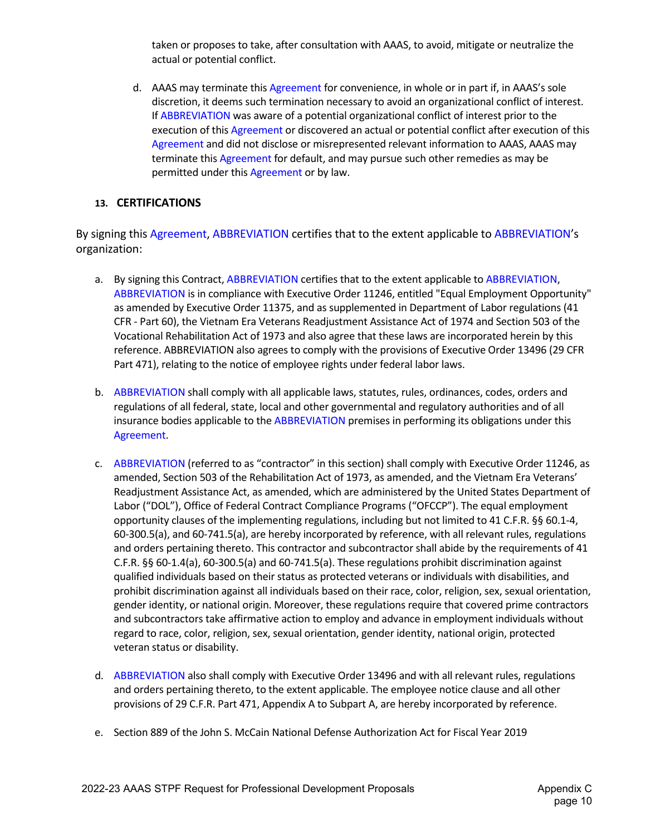taken or proposes to take, after consultation with AAAS, to avoid, mitigate or neutralize the actual or potential conflict.

d. AAAS may terminate this Agreement for convenience, in whole or in part if, in AAAS's sole discretion, it deems such termination necessary to avoid an organizational conflict of interest. If ABBREVIATION was aware of a potential organizational conflict of interest prior to the execution of this Agreement or discovered an actual or potential conflict after execution of this Agreement and did not disclose or misrepresented relevant information to AAAS, AAAS may terminate this Agreement for default, and may pursue such other remedies as may be permitted under this Agreement or by law.

## **13. CERTIFICATIONS**

By signing this Agreement, ABBREVIATION certifies that to the extent applicable to ABBREVIATION's organization:

- a. By signing this Contract, ABBREVIATION certifies that to the extent applicable to ABBREVIATION, ABBREVIATION is in compliance with Executive Order 11246, entitled "Equal Employment Opportunity" as amended by Executive Order 11375, and as supplemented in Department of Labor regulations (41 CFR - Part 60), the Vietnam Era Veterans Readjustment Assistance Act of 1974 and Section 503 of the Vocational Rehabilitation Act of 1973 and also agree that these laws are incorporated herein by this reference. ABBREVIATION also agrees to comply with the provisions of Executive Order 13496 (29 CFR Part 471), relating to the notice of employee rights under federal labor laws.
- b. ABBREVIATION shall comply with all applicable laws, statutes, rules, ordinances, codes, orders and regulations of all federal, state, local and other governmental and regulatory authorities and of all insurance bodies applicable to the ABBREVIATION premises in performing its obligations under this Agreement.
- c. ABBREVIATION (referred to as "contractor" in this section) shall comply with Executive Order 11246, as amended, Section 503 of the Rehabilitation Act of 1973, as amended, and the Vietnam Era Veterans' Readjustment Assistance Act, as amended, which are administered by the United States Department of Labor ("DOL"), Office of Federal Contract Compliance Programs ("OFCCP"). The equal employment opportunity clauses of the implementing regulations, including but not limited to 41 C.F.R. §§ 60.1-4, 60-300.5(a), and 60-741.5(a), are hereby incorporated by reference, with all relevant rules, regulations and orders pertaining thereto. This contractor and subcontractor shall abide by the requirements of 41 C.F.R. §§ 60-1.4(a), 60-300.5(a) and 60-741.5(a). These regulations prohibit discrimination against qualified individuals based on their status as protected veterans or individuals with disabilities, and prohibit discrimination against all individuals based on their race, color, religion, sex, sexual orientation, gender identity, or national origin. Moreover, these regulations require that covered prime contractors and subcontractors take affirmative action to employ and advance in employment individuals without regard to race, color, religion, sex, sexual orientation, gender identity, national origin, protected veteran status or disability.
- d. ABBREVIATION also shall comply with Executive Order 13496 and with all relevant rules, regulations and orders pertaining thereto, to the extent applicable. The employee notice clause and all other provisions of 29 C.F.R. Part 471, Appendix A to Subpart A, are hereby incorporated by reference.
- e. Section 889 of the John S. McCain National Defense Authorization Act for Fiscal Year 2019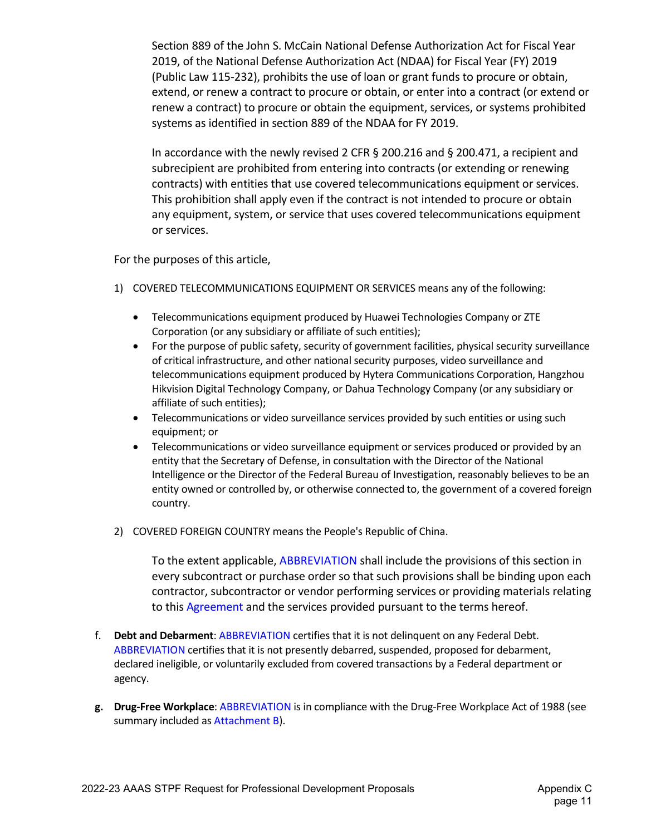Section 889 of the John S. McCain National Defense Authorization Act for Fiscal Year 2019, of the National Defense Authorization Act (NDAA) for Fiscal Year (FY) 2019 (Public Law 115-232), prohibits the use of loan or grant funds to procure or obtain, extend, or renew a contract to procure or obtain, or enter into a contract (or extend or renew a contract) to procure or obtain the equipment, services, or systems prohibited systems as identified in section 889 of the NDAA for FY 2019.

In accordance with the newly revised 2 CFR § 200.216 and § 200.471, a recipient and subrecipient are prohibited from entering into contracts (or extending or renewing contracts) with entities that use covered telecommunications equipment or services. This prohibition shall apply even if the contract is not intended to procure or obtain any equipment, system, or service that uses covered telecommunications equipment or services.

For the purposes of this article,

- 1) COVERED TELECOMMUNICATIONS EQUIPMENT OR SERVICES means any of the following:
	- Telecommunications equipment produced by Huawei Technologies Company or ZTE Corporation (or any subsidiary or affiliate of such entities);
	- For the purpose of public safety, security of government facilities, physical security surveillance of critical infrastructure, and other national security purposes, video surveillance and telecommunications equipment produced by Hytera Communications Corporation, Hangzhou Hikvision Digital Technology Company, or Dahua Technology Company (or any subsidiary or affiliate of such entities);
	- Telecommunications or video surveillance services provided by such entities or using such equipment; or
	- Telecommunications or video surveillance equipment or services produced or provided by an entity that the Secretary of Defense, in consultation with the Director of the National Intelligence or the Director of the Federal Bureau of Investigation, reasonably believes to be an entity owned or controlled by, or otherwise connected to, the government of a covered foreign country.
- 2) COVERED FOREIGN COUNTRY means the People's Republic of China.

To the extent applicable, ABBREVIATION shall include the provisions of this section in every subcontract or purchase order so that such provisions shall be binding upon each contractor, subcontractor or vendor performing services or providing materials relating to this Agreement and the services provided pursuant to the terms hereof.

- f. **Debt and Debarment**: ABBREVIATION certifies that it is not delinquent on any Federal Debt. ABBREVIATION certifies that it is not presently debarred, suspended, proposed for debarment, declared ineligible, or voluntarily excluded from covered transactions by a Federal department or agency.
- **g. Drug-Free Workplace**: ABBREVIATION is in compliance with the Drug-Free Workplace Act of 1988 (see summary included as Attachment B).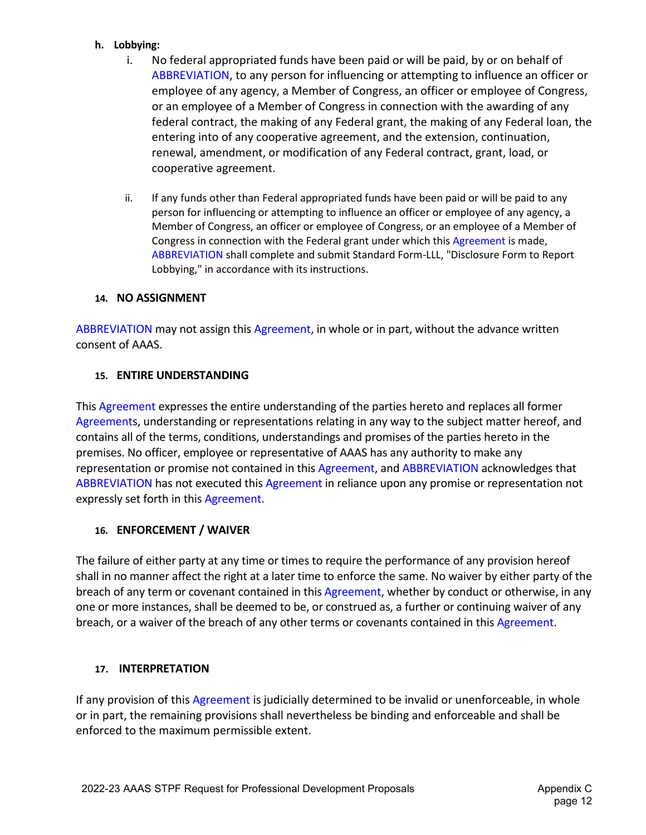### **h. Lobbying:**

- i. No federal appropriated funds have been paid or will be paid, by or on behalf of ABBREVIATION, to any person for influencing or attempting to influence an officer or employee of any agency, a Member of Congress, an officer or employee of Congress, or an employee of a Member of Congress in connection with the awarding of any federal contract, the making of any Federal grant, the making of any Federal loan, the entering into of any cooperative agreement, and the extension, continuation, renewal, amendment, or modification of any Federal contract, grant, load, or cooperative agreement.
- ii. If any funds other than Federal appropriated funds have been paid or will be paid to any person for influencing or attempting to influence an officer or employee of any agency, a Member of Congress, an officer or employee of Congress, or an employee of a Member of Congress in connection with the Federal grant under which this Agreement is made, ABBREVIATION shall complete and submit Standard Form-LLL, "Disclosure Form to Report Lobbying," in accordance with its instructions.

## **14. NO ASSIGNMENT**

ABBREVIATION may not assign this Agreement, in whole or in part, without the advance written consent of AAAS.

### **15. ENTIRE UNDERSTANDING**

This Agreement expresses the entire understanding of the parties hereto and replaces all former Agreements, understanding or representations relating in any way to the subject matter hereof, and contains all of the terms, conditions, understandings and promises of the parties hereto in the premises. No officer, employee or representative of AAAS has any authority to make any representation or promise not contained in this Agreement, and ABBREVIATION acknowledges that ABBREVIATION has not executed this Agreement in reliance upon any promise or representation not expressly set forth in this Agreement.

## **16. ENFORCEMENT / WAIVER**

The failure of either party at any time or times to require the performance of any provision hereof shall in no manner affect the right at a later time to enforce the same. No waiver by either party of the breach of any term or covenant contained in this Agreement, whether by conduct or otherwise, in any one or more instances, shall be deemed to be, or construed as, a further or continuing waiver of any breach, or a waiver of the breach of any other terms or covenants contained in this Agreement.

## **17. INTERPRETATION**

If any provision of this Agreement is judicially determined to be invalid or unenforceable, in whole or in part, the remaining provisions shall nevertheless be binding and enforceable and shall be enforced to the maximum permissible extent.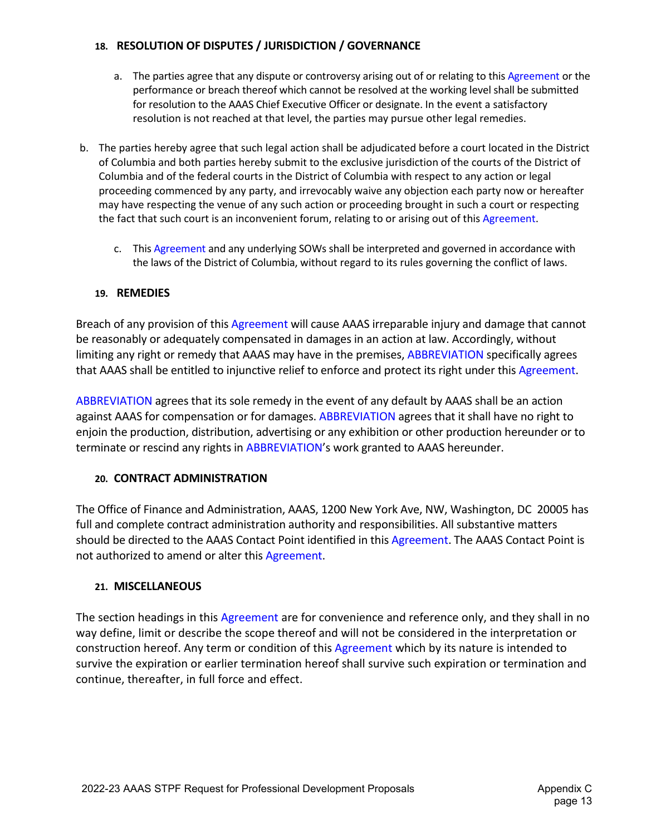# **18. RESOLUTION OF DISPUTES / JURISDICTION / GOVERNANCE**

- a. The parties agree that any dispute or controversy arising out of or relating to this Agreement or the performance or breach thereof which cannot be resolved at the working level shall be submitted for resolution to the AAAS Chief Executive Officer or designate. In the event a satisfactory resolution is not reached at that level, the parties may pursue other legal remedies.
- b. The parties hereby agree that such legal action shall be adjudicated before a court located in the District of Columbia and both parties hereby submit to the exclusive jurisdiction of the courts of the District of Columbia and of the federal courts in the District of Columbia with respect to any action or legal proceeding commenced by any party, and irrevocably waive any objection each party now or hereafter may have respecting the venue of any such action or proceeding brought in such a court or respecting the fact that such court is an inconvenient forum, relating to or arising out of this Agreement.
	- c. This Agreement and any underlying SOWs shall be interpreted and governed in accordance with the laws of the District of Columbia, without regard to its rules governing the conflict of laws.

# **19. REMEDIES**

Breach of any provision of this Agreement will cause AAAS irreparable injury and damage that cannot be reasonably or adequately compensated in damages in an action at law. Accordingly, without limiting any right or remedy that AAAS may have in the premises, ABBREVIATION specifically agrees that AAAS shall be entitled to injunctive relief to enforce and protect its right under this Agreement.

ABBREVIATION agrees that its sole remedy in the event of any default by AAAS shall be an action against AAAS for compensation or for damages. ABBREVIATION agrees that it shall have no right to enjoin the production, distribution, advertising or any exhibition or other production hereunder or to terminate or rescind any rights in ABBREVIATION's work granted to AAAS hereunder.

# **20. CONTRACT ADMINISTRATION**

The Office of Finance and Administration, AAAS, 1200 New York Ave, NW, Washington, DC 20005 has full and complete contract administration authority and responsibilities. All substantive matters should be directed to the AAAS Contact Point identified in this Agreement. The AAAS Contact Point is not authorized to amend or alter this Agreement.

# **21. MISCELLANEOUS**

The section headings in this Agreement are for convenience and reference only, and they shall in no way define, limit or describe the scope thereof and will not be considered in the interpretation or construction hereof. Any term or condition of this Agreement which by its nature is intended to survive the expiration or earlier termination hereof shall survive such expiration or termination and continue, thereafter, in full force and effect.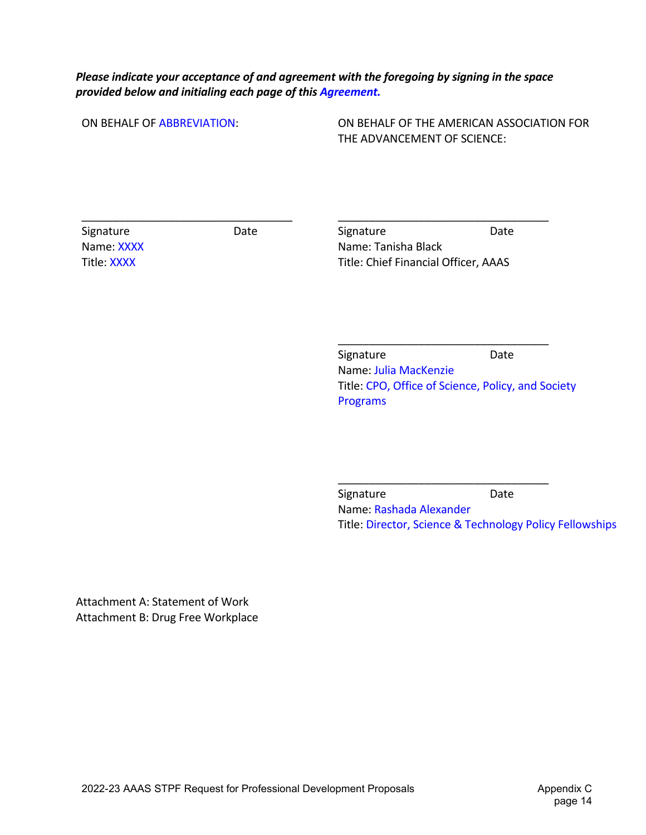# *Please indicate your acceptance of and agreement with the foregoing by signing in the space provided below and initialing each page of this Agreement.*

ON BEHALF OF ABBREVIATION:

\_\_\_\_\_\_\_\_\_\_\_\_\_\_\_\_\_\_\_\_\_\_\_\_\_\_\_\_\_\_\_\_\_\_

ON BEHALF OF THE AMERICAN ASSOCIATION FOR THE ADVANCEMENT OF SCIENCE:

Signature Date Name: XXXX Title: XXXX

Signature Date Name: Tanisha Black Title: Chief Financial Officer, AAAS

\_\_\_\_\_\_\_\_\_\_\_\_\_\_\_\_\_\_\_\_\_\_\_\_\_\_\_\_\_\_\_\_\_\_

Signature Date Name: Julia MacKenzie Title: CPO, Office of Science, Policy, and Society Programs

\_\_\_\_\_\_\_\_\_\_\_\_\_\_\_\_\_\_\_\_\_\_\_\_\_\_\_\_\_\_\_\_\_\_

\_\_\_\_\_\_\_\_\_\_\_\_\_\_\_\_\_\_\_\_\_\_\_\_\_\_\_\_\_\_\_\_\_\_

Signature Date Name: Rashada Alexander Title: Director, Science & Technology Policy Fellowships

Attachment A: Statement of Work Attachment B: Drug Free Workplace